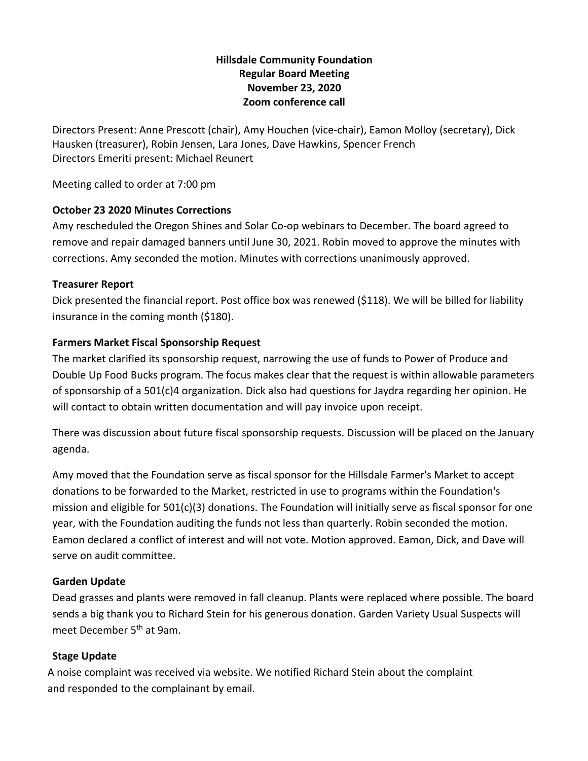## **Hillsdale Community Foundation Regular Board Meeting November 23, 2020 Zoom conference call**

Directors Present: Anne Prescott (chair), Amy Houchen (vice-chair), Eamon Molloy (secretary), Dick Hausken (treasurer), Robin Jensen, Lara Jones, Dave Hawkins, Spencer French Directors Emeriti present: Michael Reunert

Meeting called to order at 7:00 pm

## **October 23 2020 Minutes Corrections**

Amy rescheduled the Oregon Shines and Solar Co-op webinars to December. The board agreed to remove and repair damaged banners until June 30, 2021. Robin moved to approve the minutes with corrections. Amy seconded the motion. Minutes with corrections unanimously approved.

## **Treasurer Report**

Dick presented the financial report. Post office box was renewed (\$118). We will be billed for liability insurance in the coming month (\$180).

## **Farmers Market Fiscal Sponsorship Request**

The market clarified its sponsorship request, narrowing the use of funds to Power of Produce and Double Up Food Bucks program. The focus makes clear that the request is within allowable parameters of sponsorship of a 501(c)4 organization. Dick also had questions for Jaydra regarding her opinion. He will contact to obtain written documentation and will pay invoice upon receipt.

There was discussion about future fiscal sponsorship requests. Discussion will be placed on the January agenda.

Amy moved that the Foundation serve as fiscal sponsor for the Hillsdale Farmer's Market to accept donations to be forwarded to the Market, restricted in use to programs within the Foundation's mission and eligible for 501(c)(3) donations. The Foundation will initially serve as fiscal sponsor for one year, with the Foundation auditing the funds not less than quarterly. Robin seconded the motion. Eamon declared a conflict of interest and will not vote. Motion approved. Eamon, Dick, and Dave will serve on audit committee.

# **Garden Update**

Dead grasses and plants were removed in fall cleanup. Plants were replaced where possible. The board sends a big thank you to Richard Stein for his generous donation. Garden Variety Usual Suspects will meet December 5<sup>th</sup> at 9am.

# **Stage Update**

A noise complaint was received via website. We notified Richard Stein about the complaint and responded to the complainant by email.